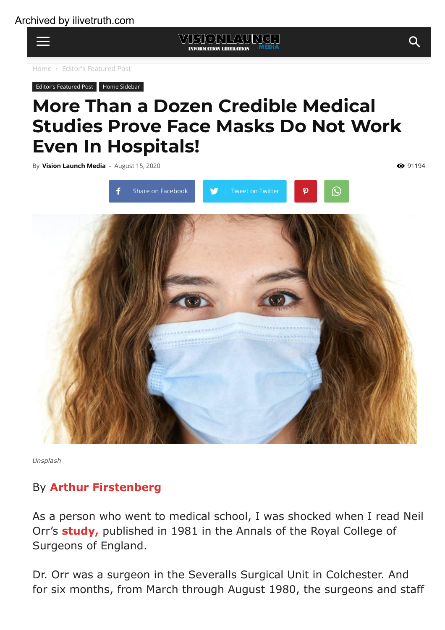

**Editor's [Featured](https://visionlaunch.com/category/home-slider/) Post Home [Sidebar](https://visionlaunch.com/category/home-sidebar/)** 

## More Than a Dozen Credible Medical Studies Prove Face Masks Do Not Work Even In Hospitals!

By Vision [Launch](https://visionlaunch.com/author/vision-launch/) Media - August 15, 2020



*Unsplash*

## By Arthur [Firstenberg](https://en.wikipedia.org/wiki/Arthur_Firstenberg)

As a person who went to medical school, I was shocked when I read Neil Orr's [study,](https://www.ncbi.nlm.nih.gov/pmc/articles/PMC2493952/pdf/annrcse01509-0009.pdf) published in 1981 in the Annals of the Royal College of Surgeons of England.

Dr. Orr was a surgeon in the Severalls Surgical Unit in Colchester. And for six months, from March through August 1980, the surgeons and staff

WISTONLAUNG.

•91194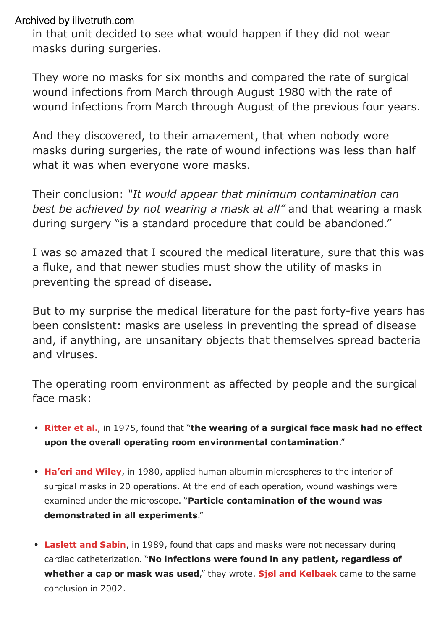in that unit decided to see what would happen if they did not wear masks during surgeries.

They wore no masks for six months and compared the rate of surgical wound infections from March through August 1980 with the rate of wound infections from March through August of the previous four years.

And they discovered, to their amazement, that when nobody wore masks during surgeries, the rate of wound infections was less than half what it was when everyone wore masks.

Their conclusion: *"It would appear that minimum contamination can best be achieved by not wearing a mask at all"* and that wearing a mask during surgery "is a standard procedure that could be abandoned."

I was so amazed that I scoured the medical literature, sure that this was a fluke, and that newer studies must show the utility of masks in preventing the spread of disease.

But to my surprise the medical literature for the past forty-five years has been consistent: masks are useless in preventing the spread of disease and, if anything, are unsanitary objects that themselves spread bacteria and viruses.

The operating room environment as affected by people and the surgical face mask:

- [Ritter](https://pubmed.ncbi.nlm.nih.gov/1157412/) et al., in 1975, found that "the wearing of a surgical face mask had no effect upon the overall operating room environmental contamination."
- [Ha'eri](https://pubmed.ncbi.nlm.nih.gov/7379387/) and Wiley, in 1980, applied human albumin microspheres to the interior of surgical masks in 20 operations. At the end of each operation, wound washings were examined under the microscope. "Particle contamination of the wound was demonstrated in all experiments."
- [Laslett](https://www.semanticscholar.org/paper/Wearing-of-caps-and-masks-not-necessary-during-Laslett-Sabin/1fbc3fe197f1b83940571bece7143e2af73d6d88) and Sabin, in 1989, found that caps and masks were not necessary during cardiac catheterization. "No infections were found in any patient, regardless of whether a cap or mask was used," they wrote. Sigl and [Kelbaek](https://app.cyberimpact.com/click-tracking?ct=YLyKOeTcRFvwaw7SXhISi_B2KugcDtIPqwGz96jclQtWOe1lJNY4MVy7wVwqQ4lTCHUZ9Q3gGY-nkjIQTHEdgpOKloTEDbk4vqmA1SLXEK8~) came to the same conclusion in 2002.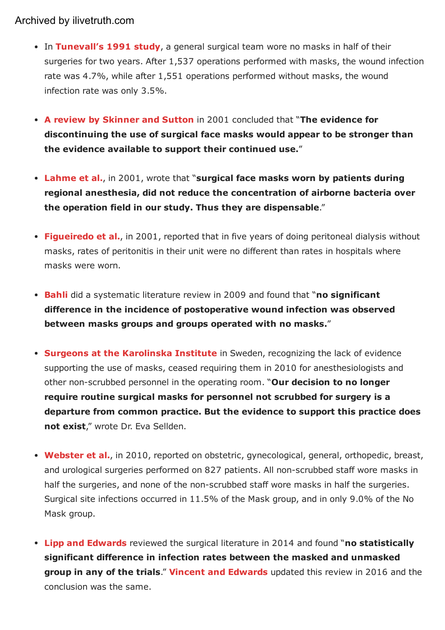- In [Tunevall's](https://pubmed.ncbi.nlm.nih.gov/1853618/) 1991 study, a general surgical team wore no masks in half of their surgeries for two years. After 1,537 operations performed with masks, the wound infection rate was 4.7%, while after 1,551 operations performed without masks, the wound infection rate was only 3.5%.
- A review by [Skinner](https://pubmed.ncbi.nlm.nih.gov/11512642/) and Sutton in 2001 concluded that "The evidence for discontinuing the use of surgical face masks would appear to be stronger than the evidence available to support their continued use."
- [Lahme](https://pubmed.ncbi.nlm.nih.gov/11760479/) et al., in 2001, wrote that "surgical face masks worn by patients during regional anesthesia, did not reduce the concentration of airborne bacteria over the operation field in our study. Thus they are dispensable."
- [Figueiredo](https://pubmed.ncbi.nlm.nih.gov/10898061/) et al., in 2001, reported that in five years of doing peritoneal dialysis without masks, rates of peritonitis in their unit were no different than rates in hospitals where masks were worn.
- [Bahli](https://pubmed.ncbi.nlm.nih.gov/20524498/) did a systematic literature review in 2009 and found that "no significant difference in the incidence of postoperative wound infection was observed between masks groups and groups operated with no masks."
- Surgeons at the [Karolinska](https://app.cyberimpact.com/click-tracking?ct=jEbgWpNdA6PM3N6NOqCc7IlF9g1-HS-w3Or7y10MzOcca6VgDXR7IA_rSQEgxhvCWzN73xvhMZFpdFcdabLOAkSXZAkgTn51T-rNN6sGzTg~) Institute in Sweden, recognizing the lack of evidence supporting the use of masks, ceased requiring them in 2010 for anesthesiologists and other non-scrubbed personnel in the operating room. "Our decision to no longer require routine surgical masks for personnel not scrubbed for surgery is a departure from common practice. But the evidence to support this practice does not exist," wrote Dr. Eva Sellden.
- [Webster](https://app.cyberimpact.com/click-tracking?ct=Ir5K8IJJuBYlvdMRN00k_p69pkm9TuroJqcdqAgmECfn1XuSOCEHxDMVCDRtjQflStrY4mqwK6o5CFuDXets6sIaqGwkvdj2SxYNGxK8tNA~) et al., in 2010, reported on obstetric, gynecological, general, orthopedic, breast, and urological surgeries performed on 827 patients. All non-scrubbed staff wore masks in half the surgeries, and none of the non-scrubbed staff wore masks in half the surgeries. Surgical site infections occurred in 11.5% of the Mask group, and in only 9.0% of the No Mask group.
- Lipp and [Edwards](https://app.cyberimpact.com/click-tracking?ct=5QSum1LLVE1elF3GBPVn_HaDgcZYMN94ocXb00I3lyeNieGq3yH8WpVFpt4aw41-fJ5nTckldmkMHUvlVdf-3xHzLcu36ITuXBJRIXAdw1E~) reviewed the surgical literature in 2014 and found "no statistically significant difference in infection rates between the masked and unmasked group in any of the trials." Vincent and [Edwards](https://app.cyberimpact.com/click-tracking?ct=YwatFEEtmZeCCXnSt2bPJpF9_C9RSR2f1BAeZIOQgDBruE99cY9IxuJwmGdSNsJvoyNXwThA50-qimFWWiqHmy9A3_fGwS7nBwOrxA8uw38~) updated this review in 2016 and the conclusion was the same.